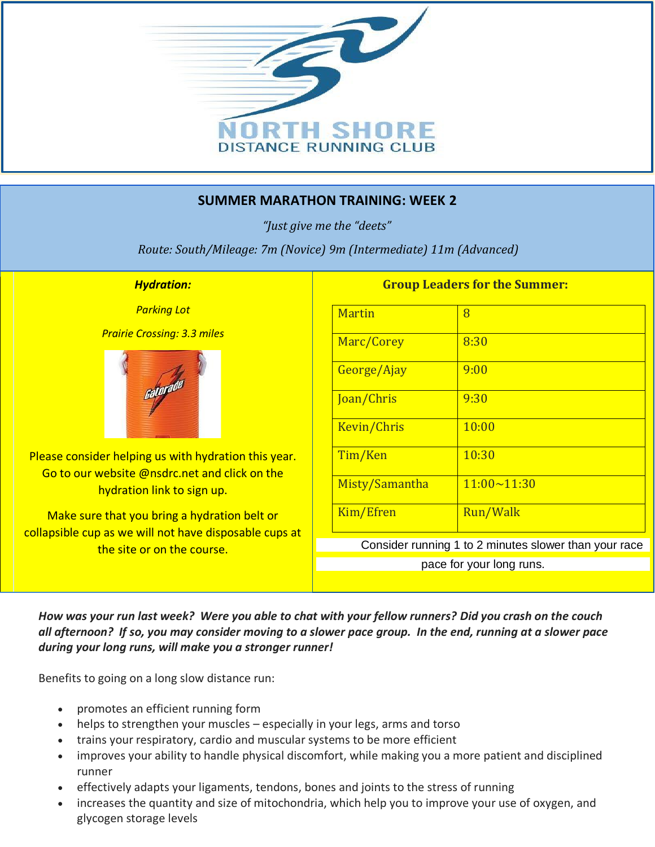

## **SUMMER MARATHON TRAINING: WEEK 2**

*"Just give me the "deets"*

*Route: South/Mileage: 7m (Novice) 9m (Intermediate) 11m (Advanced)*

## *Hydration:*

*Parking Lot*

*Prairie Crossing: 3.3 miles*



Please consider helping us with hydration this year. Go to our website @nsdrc.net and click on the hydration link to sign up.

Make sure that you bring a hydration belt or collapsible cup as we will not have disposable cups at the site or on the course.

## **Group Leaders for the Summer:**

| <b>Martin</b>                                         | 8                  |
|-------------------------------------------------------|--------------------|
| Marc/Corey                                            | 8:30               |
| George/Ajay                                           | 9:00               |
| Joan/Chris                                            | 9:30               |
| Kevin/Chris                                           | 10:00              |
| Tim/Ken                                               | 10:30              |
| Misty/Samantha                                        | $11:00 \sim 11:30$ |
| Kim/Efren                                             | Run/Walk           |
| Consider running 1 to 2 minutes slower than your race |                    |
| pace for your long runs.                              |                    |

*How was your run last week? Were you able to chat with your fellow runners? Did you crash on the couch all afternoon? If so, you may consider moving to a slower pace group. In the end, running at a slower pace during your long runs, will make you a stronger runner!* 

Benefits to going on a long slow distance run:

- promotes an efficient running form
- helps to strengthen your muscles especially in your legs, arms and torso
- trains your respiratory, cardio and muscular systems to be more efficient
- improves your ability to handle physical discomfort, while making you a more patient and disciplined runner
- effectively adapts your ligaments, tendons, bones and joints to the stress of running
- increases the quantity and size of mitochondria, which help you to improve your use of oxygen, and glycogen storage levels